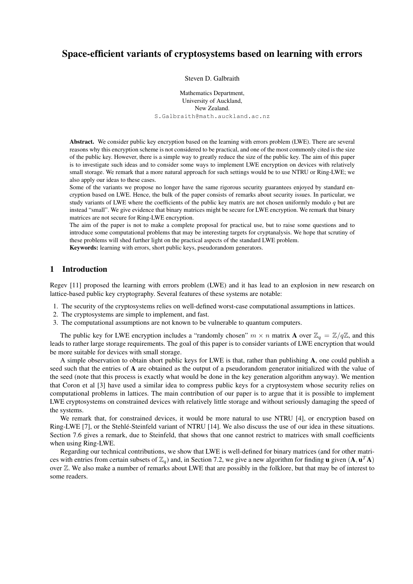# Space-efficient variants of cryptosystems based on learning with errors

Steven D. Galbraith

Mathematics Department, University of Auckland, New Zealand. S.Galbraith@math.auckland.ac.nz

Abstract. We consider public key encryption based on the learning with errors problem (LWE). There are several reasons why this encryption scheme is not considered to be practical, and one of the most commonly cited is the size of the public key. However, there is a simple way to greatly reduce the size of the public key. The aim of this paper is to investigate such ideas and to consider some ways to implement LWE encryption on devices with relatively small storage. We remark that a more natural approach for such settings would be to use NTRU or Ring-LWE; we also apply our ideas to these cases.

Some of the variants we propose no longer have the same rigorous security guarantees enjoyed by standard encryption based on LWE. Hence, the bulk of the paper consists of remarks about security issues. In particular, we study variants of LWE where the coefficients of the public key matrix are not chosen uniformly modulo  $q$  but are instead "small". We give evidence that binary matrices might be secure for LWE encryption. We remark that binary matrices are not secure for Ring-LWE encryption.

The aim of the paper is not to make a complete proposal for practical use, but to raise some questions and to introduce some computational problems that may be interesting targets for cryptanalysis. We hope that scrutiny of these problems will shed further light on the practical aspects of the standard LWE problem.

Keywords: learning with errors, short public keys, pseudorandom generators.

# 1 Introduction

Regev [11] proposed the learning with errors problem (LWE) and it has lead to an explosion in new research on lattice-based public key cryptography. Several features of these systems are notable:

- 1. The security of the cryptosystems relies on well-defined worst-case computational assumptions in lattices.
- 2. The cryptosystems are simple to implement, and fast.
- 3. The computational assumptions are not known to be vulnerable to quantum computers.

The public key for LWE encryption includes a "randomly chosen"  $m \times n$  matrix **A** over  $\mathbb{Z}_q = \mathbb{Z}/q\mathbb{Z}$ , and this leads to rather large storage requirements. The goal of this paper is to consider variants of LWE encryption that would be more suitable for devices with small storage.

A simple observation to obtain short public keys for LWE is that, rather than publishing A, one could publish a seed such that the entries of A are obtained as the output of a pseudorandom generator initialized with the value of the seed (note that this process is exactly what would be done in the key generation algorithm anyway). We mention that Coron et al [3] have used a similar idea to compress public keys for a cryptosystem whose security relies on computational problems in lattices. The main contribution of our paper is to argue that it is possible to implement LWE cryptosystems on constrained devices with relatively little storage and without seriously damaging the speed of the systems.

We remark that, for constrained devices, it would be more natural to use NTRU [4], or encryption based on Ring-LWE [7], or the Stehle-Steinfeld variant of NTRU [14]. We also discuss the use of our idea in these situations. Section 7.6 gives a remark, due to Steinfeld, that shows that one cannot restrict to matrices with small coefficients when using Ring-LWE.

Regarding our technical contributions, we show that LWE is well-defined for binary matrices (and for other matrices with entries from certain subsets of  $\mathbb{Z}_q$ ) and, in Section 7.2, we give a new algorithm for finding **u** given  $(A, u^T A)$ over Z. We also make a number of remarks about LWE that are possibly in the folklore, but that may be of interest to some readers.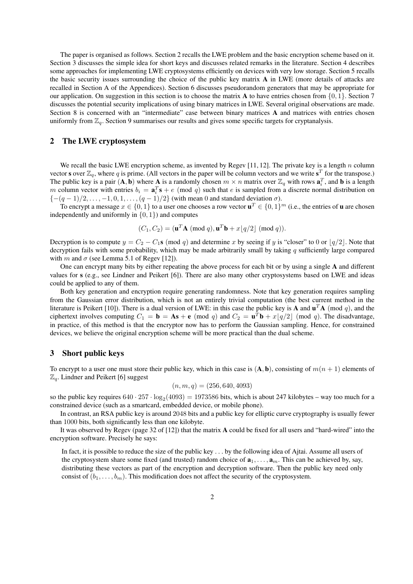The paper is organised as follows. Section 2 recalls the LWE problem and the basic encryption scheme based on it. Section 3 discusses the simple idea for short keys and discusses related remarks in the literature. Section 4 describes some approaches for implementing LWE cryptosystems efficiently on devices with very low storage. Section 5 recalls the basic security issues surrounding the choice of the public key matrix A in LWE (more details of attacks are recalled in Section A of the Appendices). Section 6 discusses pseudorandom generators that may be appropriate for our application. On suggestion in this section is to choose the matrix **A** to have entries chosen from  $\{0, 1\}$ . Section 7 discusses the potential security implications of using binary matrices in LWE. Several original observations are made. Section 8 is concerned with an "intermediate" case between binary matrices A and matrices with entries chosen uniformly from  $\mathbb{Z}_q$ . Section 9 summarises our results and gives some specific targets for cryptanalysis.

### 2 The LWE cryptosystem

We recall the basic LWE encryption scheme, as invented by Regev [11, 12]. The private key is a length n column vector s over  $\mathbb{Z}_q$ , where q is prime. (All vectors in the paper will be column vectors and we write  $s^T$  for the transpose.) The public key is a pair  $(A, b)$  where A is a randomly chosen  $m \times n$  matrix over  $\mathbb{Z}_q$  with rows  $a_i^T$ , and b is a length m column vector with entries  $b_i = \mathbf{a}_i^T \mathbf{s} + e \pmod{q}$  such that e is sampled from a discrete normal distribution on  $\{-(q-1)/2,\ldots,-1,0,1,\ldots,(q-1)/2\}$  (with mean 0 and standard deviation  $\sigma$ ).

To encrypt a message  $x \in \{0,1\}$  to a user one chooses a row vector  $\mathbf{u}^T \in \{0,1\}^m$  (i.e., the entries of **u** are chosen independently and uniformly in  $\{0, 1\}$  and computes

$$
(C_1, C_2) = (\mathbf{u}^T \mathbf{A} \pmod{q}, \mathbf{u}^T \mathbf{b} + x \lfloor q/2 \rfloor \pmod{q}).
$$

Decryption is to compute  $y = C_2 - C_1s \pmod{q}$  and determine x by seeing if y is "closer" to 0 or  $|q/2|$ . Note that decryption fails with some probability, which may be made arbitrarily small by taking  $q$  sufficiently large compared with m and  $\sigma$  (see Lemma 5.1 of Regev [12]).

One can encrypt many bits by either repeating the above process for each bit or by using a single A and different values for s (e.g., see Lindner and Peikert [6]). There are also many other cryptosystems based on LWE and ideas could be applied to any of them.

Both key generation and encryption require generating randomness. Note that key generation requires sampling from the Gaussian error distribution, which is not an entirely trivial computation (the best current method in the literature is Peikert [10]). There is a dual version of LWE: in this case the public key is A and  $u^T A$  (mod q), and the ciphertext involves computing  $C_1 = \mathbf{b} = \mathbf{As} + \mathbf{e} \pmod{q}$  and  $C_2 = \mathbf{u}^T \mathbf{b} + x\lfloor q/2 \rfloor \pmod{q}$ . The disadvantage, in practice, of this method is that the encryptor now has to perform the Gaussian sampling. Hence, for constrained devices, we believe the original encryption scheme will be more practical than the dual scheme.

#### 3 Short public keys

To encrypt to a user one must store their public key, which in this case is  $(A, b)$ , consisting of  $m(n + 1)$  elements of  $\mathbb{Z}_q$ . Lindner and Peikert [6] suggest

$$
(n, m, q) = (256, 640, 4093)
$$

so the public key requires  $640 \cdot 257 \cdot \log_2(4093) = 1973586$  bits, which is about 247 kilobytes – way too much for a constrained device (such as a smartcard, embedded device, or mobile phone).

In contrast, an RSA public key is around 2048 bits and a public key for elliptic curve cryptography is usually fewer than 1000 bits, both significantly less than one kilobyte.

It was observed by Regev (page 32 of [12]) that the matrix A could be fixed for all users and "hard-wired" into the encryption software. Precisely he says:

In fact, it is possible to reduce the size of the public key . . . by the following idea of Ajtai. Assume all users of the cryptosystem share some fixed (and trusted) random choice of  $\mathbf{a}_1, \ldots, \mathbf{a}_m$ . This can be achieved by, say, distributing these vectors as part of the encryption and decryption software. Then the public key need only consist of  $(b_1, \ldots, b_m)$ . This modification does not affect the security of the cryptosystem.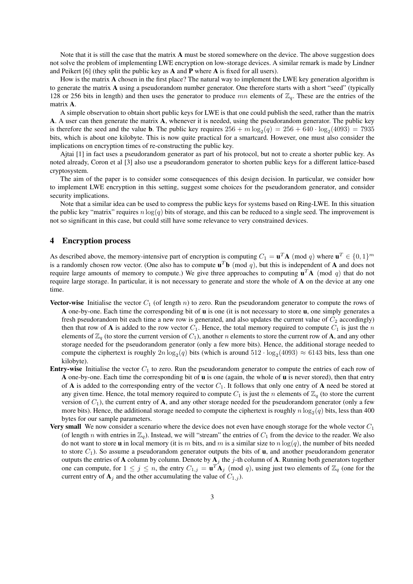Note that it is still the case that the matrix **A** must be stored somewhere on the device. The above suggestion does not solve the problem of implementing LWE encryption on low-storage devices. A similar remark is made by Lindner and Peikert  $[6]$  (they split the public key as **A** and **P** where **A** is fixed for all users).

How is the matrix A chosen in the first place? The natural way to implement the LWE key generation algorithm is to generate the matrix A using a pseudorandom number generator. One therefore starts with a short "seed" (typically 128 or 256 bits in length) and then uses the generator to produce  $mn$  elements of  $\mathbb{Z}_q$ . These are the entries of the matrix A.

A simple observation to obtain short public keys for LWE is that one could publish the seed, rather than the matrix A. A user can then generate the matrix A, whenever it is needed, using the pseudorandom generator. The public key is therefore the seed and the value **b**. The public key requires  $256 + m \log_2(q) = 256 + 640 \cdot \log_2(4093) = 7935$ bits, which is about one kilobyte. This is now quite practical for a smartcard. However, one must also consider the implications on encryption times of re-constructing the public key.

Ajtai [1] in fact uses a pseudorandom generator as part of his protocol, but not to create a shorter public key. As noted already, Coron et al [3] also use a pseudorandom generator to shorten public keys for a different lattice-based cryptosystem.

The aim of the paper is to consider some consequences of this design decision. In particular, we consider how to implement LWE encryption in this setting, suggest some choices for the pseudorandom generator, and consider security implications.

Note that a similar idea can be used to compress the public keys for systems based on Ring-LWE. In this situation the public key "matrix" requires  $n \log(q)$  bits of storage, and this can be reduced to a single seed. The improvement is not so significant in this case, but could still have some relevance to very constrained devices.

### 4 Encryption process

As described above, the memory-intensive part of encryption is computing  $C_1 = \mathbf{u}^T \mathbf{A}$  (mod q) where  $\mathbf{u}^T \in \{0,1\}^m$ is a randomly chosen row vector. (One also has to compute  $\mathbf{u}^T\mathbf{b}$  (mod q), but this is independent of **A** and does not require large amounts of memory to compute.) We give three approaches to computing  $\mathbf{u}^T \mathbf{A}$  (mod q) that do not require large storage. In particular, it is not necessary to generate and store the whole of A on the device at any one time.

- **Vector-wise** Initialise the vector  $C_1$  (of length n) to zero. Run the pseudorandom generator to compute the rows of A one-by-one. Each time the corresponding bit of u is one (it is not necessary to store u, one simply generates a fresh pseudorandom bit each time a new row is generated, and also updates the current value of  $C_2$  accordingly) then that row of **A** is added to the row vector  $C_1$ . Hence, the total memory required to compute  $C_1$  is just the n elements of  $\mathbb{Z}_q$  (to store the current version of  $C_1$ ), another n elements to store the current row of **A**, and any other storage needed for the pseudorandom generator (only a few more bits). Hence, the additional storage needed to compute the ciphertext is roughly  $2n \log_2(q)$  bits (which is around  $512 \cdot \log_2(4093) \approx 6143$  bits, less than one kilobyte).
- **Entry-wise** Initialise the vector  $C_1$  to zero. Run the pseudorandom generator to compute the entries of each row of A one-by-one. Each time the corresponding bit of  $\bf{u}$  is one (again, the whole of  $\bf{u}$  is never stored), then that entry of  $A$  is added to the corresponding entry of the vector  $C_1$ . It follows that only one entry of  $A$  need be stored at any given time. Hence, the total memory required to compute  $C_1$  is just the n elements of  $\mathbb{Z}_q$  (to store the current version of  $C_1$ ), the current entry of A, and any other storage needed for the pseudorandom generator (only a few more bits). Hence, the additional storage needed to compute the ciphertext is roughly  $n \log_2(q)$  bits, less than 400 bytes for our sample parameters.
- Very small We now consider a scenario where the device does not even have enough storage for the whole vector  $C_1$ (of length n with entries in  $\mathbb{Z}_q$ ). Instead, we will "stream" the entries of  $C_1$  from the device to the reader. We also do not want to store **u** in local memory (it is m bits, and m is a similar size to  $n \log(q)$ , the number of bits needed to store  $C_1$ ). So assume a pseudorandom generator outputs the bits of **u**, and another pseudorandom generator outputs the entries of A column by column. Denote by  $A_j$  the j-th column of A. Running both generators together one can compute, for  $1 \le j \le n$ , the entry  $C_{1,j} = \mathbf{u}^T \mathbf{A}_j \pmod{q}$ , using just two elements of  $\mathbb{Z}_q$  (one for the current entry of  $A_j$  and the other accumulating the value of  $C_{1,j}$ ).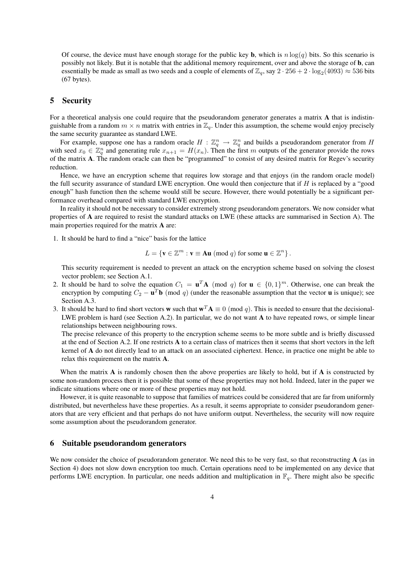Of course, the device must have enough storage for the public key **b**, which is  $n \log(q)$  bits. So this scenario is possibly not likely. But it is notable that the additional memory requirement, over and above the storage of b, can essentially be made as small as two seeds and a couple of elements of  $\mathbb{Z}_q$ , say  $2 \cdot 256 + 2 \cdot \log_2(4093) \approx 536$  bits (67 bytes).

### 5 Security

For a theoretical analysis one could require that the pseudorandom generator generates a matrix A that is indistinguishable from a random  $m \times n$  matrix with entries in  $\mathbb{Z}_q$ . Under this assumption, the scheme would enjoy precisely the same security guarantee as standard LWE.

For example, suppose one has a random oracle  $H: \mathbb{Z}_q^n \to \mathbb{Z}_q^n$  and builds a pseudorandom generator from H with seed  $x_0 \in \mathbb{Z}_q^n$  and generating rule  $x_{n+1} = H(x_n)$ . Then the first m outputs of the generator provide the rows of the matrix A. The random oracle can then be "programmed" to consist of any desired matrix for Regev's security reduction.

Hence, we have an encryption scheme that requires low storage and that enjoys (in the random oracle model) the full security assurance of standard LWE encryption. One would then conjecture that if  $H$  is replaced by a "good enough" hash function then the scheme would still be secure. However, there would potentially be a significant performance overhead compared with standard LWE encryption.

In reality it should not be necessary to consider extremely strong pseudorandom generators. We now consider what properties of A are required to resist the standard attacks on LWE (these attacks are summarised in Section A). The main properties required for the matrix A are:

1. It should be hard to find a "nice" basis for the lattice

$$
L = \{ \mathbf{v} \in \mathbb{Z}^m : \mathbf{v} \equiv \mathbf{A}\mathbf{u} \pmod{q} \text{ for some } \mathbf{u} \in \mathbb{Z}^n \}.
$$

This security requirement is needed to prevent an attack on the encryption scheme based on solving the closest vector problem; see Section A.1.

- 2. It should be hard to solve the equation  $C_1 = \mathbf{u}^T \mathbf{A}$  (mod q) for  $\mathbf{u} \in \{0,1\}^m$ . Otherwise, one can break the encryption by computing  $C_2 - \mathbf{u}^T \mathbf{b}$  (mod q) (under the reasonable assumption that the vector **u** is unique); see Section A.3.
- 3. It should be hard to find short vectors w such that  $w^T A \equiv 0 \pmod{q}$ . This is needed to ensure that the decisional-LWE problem is hard (see Section A.2). In particular, we do not want A to have repeated rows, or simple linear relationships between neighbouring rows.

The precise relevance of this property to the encryption scheme seems to be more subtle and is briefly discussed at the end of Section A.2. If one restricts A to a certain class of matrices then it seems that short vectors in the left kernel of A do not directly lead to an attack on an associated ciphertext. Hence, in practice one might be able to relax this requirement on the matrix A.

When the matrix  $A$  is randomly chosen then the above properties are likely to hold, but if  $A$  is constructed by some non-random process then it is possible that some of these properties may not hold. Indeed, later in the paper we indicate situations where one or more of these properties may not hold.

However, it is quite reasonable to suppose that families of matrices could be considered that are far from uniformly distributed, but nevertheless have these properties. As a result, it seems appropriate to consider pseudorandom generators that are very efficient and that perhaps do not have uniform output. Nevertheless, the security will now require some assumption about the pseudorandom generator.

### 6 Suitable pseudorandom generators

We now consider the choice of pseudorandom generator. We need this to be very fast, so that reconstructing A (as in Section 4) does not slow down encryption too much. Certain operations need to be implemented on any device that performs LWE encryption. In particular, one needs addition and multiplication in  $\mathbb{F}_q$ . There might also be specific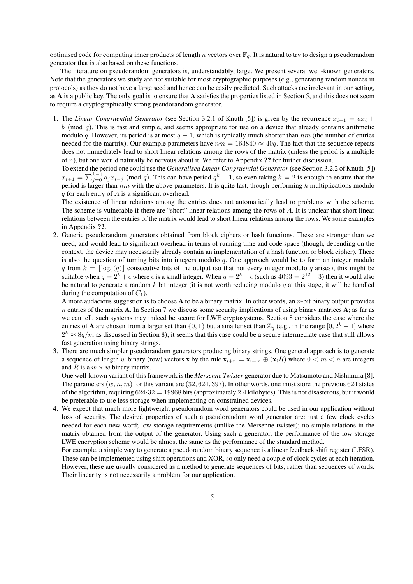optimised code for computing inner products of length n vectors over  $\mathbb{F}_q$ . It is natural to try to design a pseudorandom generator that is also based on these functions.

The literature on pseudorandom generators is, understandably, large. We present several well-known generators. Note that the generators we study are not suitable for most cryptographic purposes (e.g., generating random nonces in protocols) as they do not have a large seed and hence can be easily predicted. Such attacks are irrelevant in our setting, as A is a public key. The only goal is to ensure that A satisfies the properties listed in Section 5, and this does not seem to require a cryptographically strong pseudorandom generator.

1. The *Linear Congruential Generator* (see Section 3.2.1 of Knuth [5]) is given by the recurrence  $x_{i+1} = ax_i +$  $b \pmod{q}$ . This is fast and simple, and seems appropriate for use on a device that already contains arithmetic modulo q. However, its period is at most  $q - 1$ , which is typically much shorter than  $nm$  (the number of entries needed for the martrix). Our example parameters have  $nm = 163840 \approx 40q$ . The fact that the sequence repeats does not immediately lead to short linear relations among the rows of the matrix (unless the period is a multiple of  $n$ ), but one would naturally be nervous about it. We refer to Appendix ?? for further discussion.

To extend the period one could use the *Generalised Linear Congruential Generator* (see Section 3.2.2 of Knuth [5])  $x_{i+1} = \sum_{j=0}^{k-1} a_j x_{i-j}$  (mod q). This can have period  $q^k - 1$ , so even taking  $k = 2$  is enough to ensure that the period is larger than  $nm$  with the above parameters. It is quite fast, though performing k multiplications modulo  $q$  for each entry of  $\vec{A}$  is a significant overhead.

The existence of linear relations among the entries does not automatically lead to problems with the scheme. The scheme is vulnerable if there are "short" linear relations among the rows of A. It is unclear that short linear relations between the entries of the matrix would lead to short linear relations among the rows. We some examples in Appendix ??.

2. Generic pseudorandom generators obtained from block ciphers or hash functions. These are stronger than we need, and would lead to significant overhead in terms of running time and code space (though, depending on the context, the device may necessarily already contain an implementation of a hash function or block cipher). There is also the question of turning bits into integers modulo  $q$ . One approach would be to form an integer modulo q from  $k = \lfloor \log_2(q) \rfloor$  consecutive bits of the output (so that not every integer modulo q arises); this might be suitable when  $q = 2^k + \epsilon$  where  $\epsilon$  is a small integer. When  $q = 2^k - \epsilon$  (such as  $4093 = 2^{12} - 3$ ) then it would also be natural to generate a random k bit integer (it is not worth reducing modulo q at this stage, it will be handled during the computation of  $C_1$ ).

A more audacious suggestion is to choose A to be a binary matrix. In other words, an *n*-bit binary output provides  $n$  entries of the matrix A. In Section 7 we discuss some security implications of using binary matrices A; as far as we can tell, such systems may indeed be secure for LWE cryptosystems. Section 8 considers the case where the entries of **A** are chosen from a larger set than  $\{0, 1\}$  but a smaller set than  $\mathbb{Z}_q$  (e.g., in the range  $[0, 2^k - 1]$  where  $2^k \approx 8q/m$  as discussed in Section 8); it seems that this case could be a secure intermediate case that still allows fast generation using binary strings.

3. There are much simpler pseudorandom generators producing binary strings. One general approach is to generate a sequence of length w binary (row) vectors x by the rule  $\mathbf{x}_{i+n} = \mathbf{x}_{i+m} \oplus (\mathbf{x}_i R)$  where  $0 < m < n$  are integers and R is a  $w \times w$  binary matrix.

One well-known variant of this framework is the *Mersenne Twister* generator due to Matsumoto and Nishimura [8]. The parameters  $(w, n, m)$  for this variant are (32, 624, 397). In other words, one must store the previous 624 states of the algorithm, requiring  $624.32 = 19968$  bits (approximately 2.4 kilobytes). This is not disasterous, but it would be preferable to use less storage when implementing on constrained devices.

4. We expect that much more lightweight pseudorandom word generators could be used in our application without loss of security. The desired properties of such a pseudorandom word generator are: just a few clock cycles needed for each new word; low storage requirements (unlike the Mersenne twister); no simple relations in the matrix obtained from the output of the generator. Using such a generator, the performance of the low-storage LWE encryption scheme would be almost the same as the performance of the standard method.

For example, a simple way to generate a pseudorandom binary sequence is a linear feedback shift register (LFSR). These can be implemented using shift operations and XOR, so only need a couple of clock cycles at each iteration. However, these are usually considered as a method to generate sequences of bits, rather than sequences of words. Their linearity is not necessarily a problem for our application.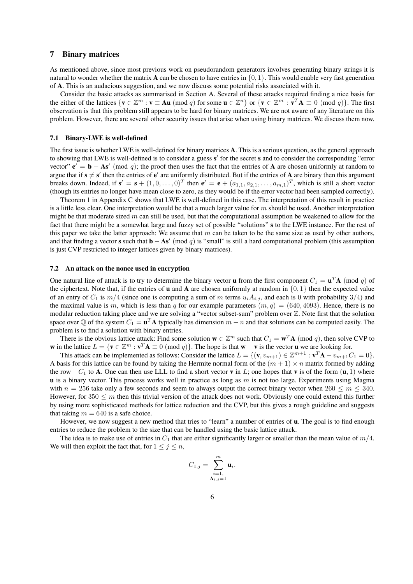### 7 Binary matrices

As mentioned above, since most previous work on pseudorandom generators involves generating binary strings it is natural to wonder whether the matrix **A** can be chosen to have entries in  $\{0, 1\}$ . This would enable very fast generation of A. This is an audacious suggestion, and we now discuss some potential risks associated with it.

Consider the basic attacks as summarised in Section A. Several of these attacks required finding a nice basis for the either of the lattices  $\{v \in \mathbb{Z}^m : v \equiv \mathbf{A}u \pmod{q} \text{ for some } u \in \mathbb{Z}^n\}$  or  $\{v \in \mathbb{Z}^m : v^T \mathbf{A} \equiv 0 \pmod{q}\}$ . The first observation is that this problem still appears to be hard for binary matrices. We are not aware of any literature on this problem. However, there are several other security issues that arise when using binary matrices. We discuss them now.

#### 7.1 Binary-LWE is well-defined

The first issue is whether LWE is well-defined for binary matrices A. This is a serious question, as the general approach to showing that LWE is well-defined is to consider a guess s' for the secret s and to consider the corresponding "error vector"  $e' = b - As' \pmod{q}$ ; the proof then uses the fact that the entries of A are chosen uniformly at random to argue that if  $s \neq s'$  then the entries of  $e'$  are uniformly distributed. But if the entries of A are binary then this argument breaks down. Indeed, if  $\mathbf{s}' = \mathbf{s} + (1, 0, \dots, 0)^T$  then  $\mathbf{e}' = \mathbf{e} + (a_{1,1}, a_{2,1}, \dots, a_{m,1})^T$ , which is still a short vector (though its entries no longer have mean close to zero, as they would be if the error vector had been sampled correctly).

Theorem 1 in Appendix C shows that LWE is well-defined in this case. The interpretation of this result in practice is a little less clear. One interpretation would be that a much larger value for  $m$  should be used. Another interpretation might be that moderate sized  $m$  can still be used, but that the computational assumption be weakened to allow for the fact that there might be a somewhat large and fuzzy set of possible "solutions" s to the LWE instance. For the rest of this paper we take the latter approach: We assume that  $m$  can be taken to be the same size as used by other authors, and that finding a vector s such that  $\mathbf{b} - \mathbf{As}'$  (mod q) is "small" is still a hard computational problem (this assumption is just CVP restricted to integer lattices given by binary matrices).

#### 7.2 An attack on the nonce used in encryption

One natural line of attack is to try to determine the binary vector **u** from the first component  $C_1 = \mathbf{u}^T \mathbf{A}$  (mod q) of the ciphertext. Note that, if the entries of **u** and **A** are chosen uniformly at random in  $\{0, 1\}$  then the expected value of an entry of  $C_1$  is  $m/4$  (since one is computing a sum of m terms  $u_iA_{i,j}$ , and each is 0 with probability 3/4) and the maximal value is m, which is less than q for our example parameters  $(m, q) = (640, 4093)$ . Hence, there is no modular reduction taking place and we are solving a "vector subset-sum" problem over Z. Note first that the solution space over  $\mathbb Q$  of the system  $C_1 = \mathbf{u}^T \mathbf{A}$  typically has dimension  $m - n$  and that solutions can be computed easily. The problem is to find a solution with binary entries.

There is the obvious lattice attack: Find some solution  $\mathbf{w} \in \mathbb{Z}^m$  such that  $C_1 = \mathbf{w}^T \mathbf{A}$  (mod q), then solve CVP to w in the lattice  $L = \{v \in \mathbb{Z}^m : v^T A \equiv 0 \pmod{q}\}$ . The hope is that w – v is the vector u we are looking for.

This attack can be implemented as follows: Consider the lattice  $L = \{ (\mathbf{v}, v_{m+1}) \in \mathbb{Z}^{m+1} : \mathbf{v}^T \mathbf{A} - v_{m+1} C_1 = 0 \}.$ A basis for this lattice can be found by taking the Hermite normal form of the  $(m + 1) \times n$  matrix formed by adding the row  $-C_1$  to A. One can then use LLL to find a short vector v in L; one hopes that v is of the form  $(u, 1)$  where  **is a binary vector. This process works well in practice as long as**  $m$  **is not too large. Experiments using Magma** with  $n = 256$  take only a few seconds and seem to always output the correct binary vector when  $260 \le m \le 340$ . However, for  $350 \le m$  then this trivial version of the attack does not work. Obviously one could extend this further by using more sophisticated methods for lattice reduction and the CVP, but this gives a rough guideline and suggests that taking  $m = 640$  is a safe choice.

However, we now suggest a new method that tries to "learn" a number of entries of  $u$ . The goal is to find enough entries to reduce the problem to the size that can be handled using the basic lattice attack.

The idea is to make use of entries in  $C_1$  that are either significantly larger or smaller than the mean value of  $m/4$ . We will then exploit the fact that, for  $1 \leq j \leq n$ ,

$$
C_{1,j} = \sum_{\substack{i=1,\\ \mathbf{A}_{i,j}=1}}^m \mathbf{u}_i.
$$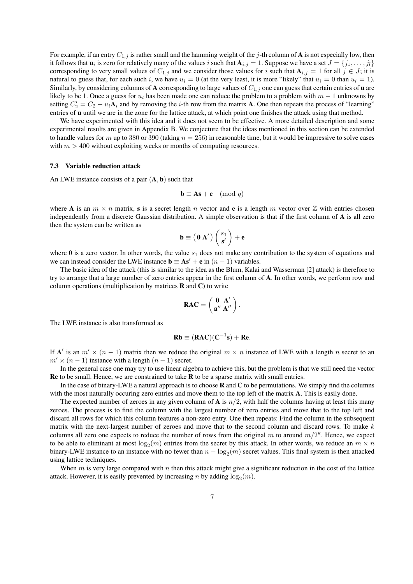For example, if an entry  $C_{1,j}$  is rather small and the hamming weight of the j-th column of A is not especially low, then it follows that  $\mathbf{u}_i$  is zero for relatively many of the values i such that  $\mathbf{A}_{i,j}=1$ . Suppose we have a set  $J=\{j_1,\ldots,j_l\}$ corresponding to very small values of  $C_{1,j}$  and we consider those values for i such that  $A_{i,j} = 1$  for all  $j \in J$ ; it is natural to guess that, for each such i, we have  $u_i = 0$  (at the very least, it is more "likely" that  $u_i = 0$  than  $u_i = 1$ ). Similarly, by considering columns of A corresponding to large values of  $C_{1,j}$  one can guess that certain entries of **u** are likely to be 1. Once a guess for  $u_i$  has been made one can reduce the problem to a problem with  $m - 1$  unknowns by setting  $C'_2 = C_2 - u_i \mathbf{A}_i$  and by removing the *i*-th row from the matrix **A**. One then repeats the process of "learning" entries of **u** until we are in the zone for the lattice attack, at which point one finishes the attack using that method.

We have experimented with this idea and it does not seem to be effective. A more detailed description and some experimental results are given in Appendix B. We conjecture that the ideas mentioned in this section can be extended to handle values for m up to 380 or 390 (taking  $n = 256$ ) in reasonable time, but it would be impressive to solve cases with  $m > 400$  without exploiting weeks or months of computing resources.

#### 7.3 Variable reduction attack

An LWE instance consists of a pair  $(A, b)$  such that

$$
\mathbf{b} \equiv \mathbf{A}\mathbf{s} + \mathbf{e} \pmod{q}
$$

where A is an  $m \times n$  matrix, s is a secret length n vector and e is a length m vector over Z with entries chosen independently from a discrete Gaussian distribution. A simple observation is that if the first column of A is all zero then the system can be written as

$$
\mathbf{b} \equiv \left(\begin{array}{c} 0 \end{array} \mathbf{A}'\right) \left(\begin{array}{c} s_1 \\ \mathbf{s}'\end{array}\right) + \mathbf{e}
$$

where  $\bf{0}$  is a zero vector. In other words, the value  $s_1$  does not make any contribution to the system of equations and we can instead consider the LWE instance  $\mathbf{b} \equiv \mathbf{A}\mathbf{s}' + \mathbf{e}$  in  $(n - 1)$  variables.

The basic idea of the attack (this is similar to the idea as the Blum, Kalai and Wasserman [2] attack) is therefore to try to arrange that a large number of zero entries appear in the first column of A. In other words, we perform row and column operations (multiplication by matrices  **and**  $**C**$ **) to write** 

$$
RAC = \left(\begin{array}{cc} 0 & A' \\ a'' & A'' \end{array}\right).
$$

The LWE instance is also transformed as

$$
Rb \equiv (RAC)(C^{-1}s) + Re.
$$

If A' is an  $m' \times (n-1)$  matrix then we reduce the original  $m \times n$  instance of LWE with a length n secret to an  $m' \times (n-1)$  instance with a length  $(n-1)$  secret.

In the general case one may try to use linear algebra to achieve this, but the problem is that we still need the vector Re to be small. Hence, we are constrained to take R to be a sparse matrix with small entries.

In the case of binary-LWE a natural approach is to choose  $\bf{R}$  and  $\bf{C}$  to be permutations. We simply find the columns with the most naturally occuring zero entries and move them to the top left of the matrix **A**. This is easily done.

The expected number of zeroes in any given column of **A** is  $n/2$ , with half the columns having at least this many zeroes. The process is to find the column with the largest number of zero entries and move that to the top left and discard all rows for which this column features a non-zero entry. One then repeats: Find the column in the subsequent matrix with the next-largest number of zeroes and move that to the second column and discard rows. To make  $k$ columns all zero one expects to reduce the number of rows from the original m to around  $m/2<sup>k</sup>$ . Hence, we expect to be able to eliminant at most  $\log_2(m)$  entries from the secret by this attack. In other words, we reduce an  $m \times n$ binary-LWE instance to an instance with no fewer than  $n - log_2(m)$  secret values. This final system is then attacked using lattice techniques.

When  $m$  is very large compared with  $n$  then this attack might give a significant reduction in the cost of the lattice attack. However, it is easily prevented by increasing *n* by adding  $log_2(m)$ .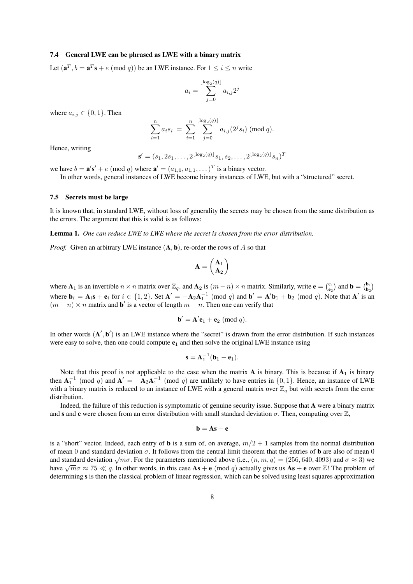#### 7.4 General LWE can be phrased as LWE with a binary matrix

Let  $(\mathbf{a}^T, b = \mathbf{a}^T \mathbf{s} + e \pmod{q}$  be an LWE instance. For  $1 \le i \le n$  write

$$
a_i = \sum_{j=0}^{\lfloor \log_2(q) \rfloor} a_{i,j} 2^j
$$

where  $a_{i,j} \in \{0,1\}$ . Then

$$
\sum_{i=1}^{n} a_i s_i = \sum_{i=1}^{n} \sum_{j=0}^{\lfloor \log_2(q) \rfloor} a_{i,j}(2^j s_i) \; (\text{mod } q).
$$

Hence, writing

$$
\mathbf{s}' = (s_1, 2s_1, \dots, 2^{\lfloor \log_2(q) \rfloor} s_1, s_2, \dots, 2^{\lfloor \log_2(q) \rfloor} s_n)^T
$$

we have  $b = \mathbf{a}'\mathbf{s}' + e \pmod{q}$  where  $\mathbf{a}' = (a_{1,0}, a_{1,1}, \dots)^T$  is a binary vector. In other words, general instances of LWE become binary instances of LWE, but with a "structured" secret.

#### 7.5 Secrets must be large

It is known that, in standard LWE, without loss of generality the secrets may be chosen from the same distribution as the errors. The argument that this is valid is as follows:

Lemma 1. *One can reduce LWE to LWE where the secret is chosen from the error distribution.*

*Proof.* Given an arbitrary LWE instance  $(A, b)$ , re-order the rows of A so that

$$
\mathbf{A} = \begin{pmatrix} \mathbf{A}_1 \\ \mathbf{A}_2 \end{pmatrix}
$$

where  $A_1$  is an invertible  $n \times n$  matrix over  $\mathbb{Z}_q$ . and  $A_2$  is  $(m-n) \times n$  matrix. Similarly, write  $e = \begin{pmatrix} e_1 \\ e_2 \end{pmatrix}$  and  $b = \begin{pmatrix} b_1 \\ b_2 \end{pmatrix}$ where  $\mathbf{b}_i = \mathbf{A}_i \mathbf{s} + \mathbf{e}_i$  for  $i \in \{1,2\}$ . Set  $\mathbf{A}' = -\mathbf{A}_2 \mathbf{A}_1^{-1}$  (mod q) and  $\mathbf{b}' = \mathbf{A}' \mathbf{b}_1 + \mathbf{b}_2$  (mod q). Note that  $\mathbf{A}'$  is an  $(m - n) \times n$  matrix and b' is a vector of length  $m - n$ . Then one can verify that

$$
\mathbf{b}' = \mathbf{A}'\mathbf{e}_1 + \mathbf{e}_2 \ (\text{mod } q).
$$

In other words  $(A', b')$  is an LWE instance where the "secret" is drawn from the error distribution. If such instances were easy to solve, then one could compute  $e_1$  and then solve the original LWE instance using

$$
\mathbf{s} = \mathbf{A}_1^{-1}(\mathbf{b}_1 - \mathbf{e}_1).
$$

Note that this proof is not applicable to the case when the matrix  $A$  is binary. This is because if  $A_1$  is binary then  $A_1^{-1}$  (mod q) and  $A' = -A_2A_1^{-1}$  (mod q) are unlikely to have entries in {0, 1}. Hence, an instance of LWE with a binary matrix is reduced to an instance of LWE with a general matrix over  $\mathbb{Z}_q$  but with secrets from the error distribution.

Indeed, the failure of this reduction is symptomatic of genuine security issue. Suppose that A were a binary matrix and s and e were chosen from an error distribution with small standard deviation  $\sigma$ . Then, computing over  $\mathbb{Z}$ ,

$$
\mathbf{b} = \mathbf{A}\mathbf{s} + \mathbf{e}
$$

is a "short" vector. Indeed, each entry of **b** is a sum of, on average,  $m/2 + 1$  samples from the normal distribution of mean 0 and standard deviation  $\sigma$ . It follows from the central limit theorem that the entries of **b** are also of mean 0 and standard deviation  $\sqrt{m\sigma}$ . For the parameters mentioned above (i.e.,  $(n, m, q) = (256, 640, 4093)$  and  $\sigma \approx 3$ ) we and standard deviation  $\sqrt{n}$ . For the parameters mentioned above (i.e.,  $(n, m, q) = (250, 640, 4095)$  and  $0 \approx 3$ ) we have  $\sqrt{m}\sigma \approx 75 \ll q$ . In other words, in this case  $\mathbf{As} + \mathbf{e} \pmod{q}$  actually gives us  $\mathbf{As} + \mathbf{e}$ determining s is then the classical problem of linear regression, which can be solved using least squares approximation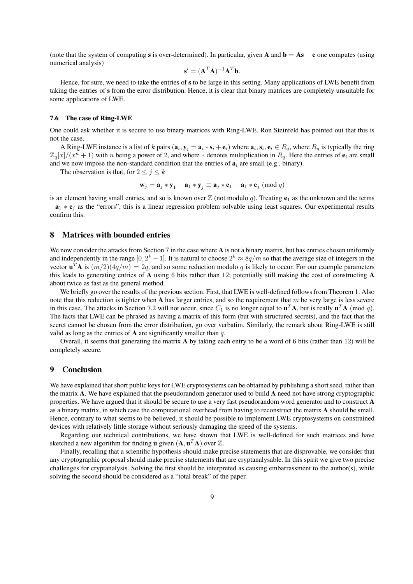(note that the system of computing s is over-determined). In particular, given **A** and  $\mathbf{b} = \mathbf{As} + \mathbf{e}$  one computes (using numerical analysis)

$$
\mathbf{s}' = (\mathbf{A}^T \mathbf{A})^{-1} \mathbf{A}^T \mathbf{b}.
$$

Hence, for sure, we need to take the entries of s to be large in this setting. Many applications of LWE benefit from taking the entries of s from the error distribution. Hence, it is clear that binary matrices are completely unsuitable for some applications of LWE.

### 7.6 The case of Ring-LWE

One could ask whether it is secure to use binary matrices with Ring-LWE. Ron Steinfeld has pointed out that this is not the case.

A Ring-LWE instance is a list of k pairs  $(a_i, y_i = a_i * s_i + e_i)$  where  $a_i, s_i, e_i \in R_q$ , where  $R_q$  is typically the ring  $\mathbb{Z}_q[x]/(x^n+1)$  with n being a power of 2, and where  $*$  denotes multiplication in  $R_q$ . Here the entries of  $e_i$  are small and we now impose the non-standard condition that the entries of  $\mathbf{a}_i$  are small (e.g., binary).

The observation is that, for  $2 \le j \le k$ 

$$
\mathbf{w}_j = \mathbf{a}_j * \mathbf{y}_1 - \mathbf{a}_1 * \mathbf{y}_j \equiv \mathbf{a}_j * \mathbf{e}_1 - \mathbf{a}_1 * \mathbf{e}_j \pmod{q}
$$

is an element having small entries, and so is known over  $\mathbb Z$  (not modulo q). Treating  $e_1$  as the unknown and the terms  $-a_1 * e_j$  as the "errors", this is a linear regression problem solvable using least squares. Our experimental results confirm this.

### 8 Matrices with bounded entries

We now consider the attacks from Section 7 in the case where A is not a binary matrix, but has entries chosen uniformly and independently in the range  $[0, 2^k - 1]$ . It is natural to choose  $2^k \approx 8q/m$  so that the average size of integers in the vector  $\mathbf{u}^T \mathbf{A}$  is  $(m/2)(4q/m) = 2q$ , and so some reduction modulo q is likely to occur. For our example parameters this leads to generating entries of A using 6 bits rather than 12; potentially still making the cost of constructing A about twice as fast as the general method.

We briefly go over the results of the previous section. First, that LWE is well-defined follows from Theorem 1. Also note that this reduction is tighter when A has larger entries, and so the requirement that  $m$  be very large is less severe in this case. The attacks in Section 7.2 will not occur, since  $C_1$  is no longer equal to  $\mathbf{u}^T \mathbf{A}$ , but is really  $\mathbf{u}^T \mathbf{A}$  (mod q). The facts that LWE can be phrased as having a matrix of this form (but with structured secrets), and the fact that the secret cannot be chosen from the error distribution, go over verbatim. Similarly, the remark about Ring-LWE is still valid as long as the entries of  $A$  are significantly smaller than  $q$ .

Overall, it seems that generating the matrix  $\bf{A}$  by taking each entry to be a word of 6 bits (rather than 12) will be completely secure.

### 9 Conclusion

We have explained that short public keys for LWE cryptosystems can be obtained by publishing a short seed, rather than the matrix A. We have explained that the pseudorandom generator used to build A need not have strong cryptographic properties. We have argued that it should be secure to use a very fast pseudorandom word generator and to construct A as a binary matrix, in which case the computational overhead from having to reconstruct the matrix A should be small. Hence, contrary to what seems to be believed, it should be possible to implement LWE cryptosystems on constrained devices with relatively little storage without seriously damaging the speed of the systems.

Regarding our technical contributions, we have shown that LWE is well-defined for such matrices and have sketched a new algorithm for finding **u** given  $(A, u^T A)$  over  $\mathbb{Z}$ .

Finally, recalling that a scientific hypothesis should make precise statements that are disprovable, we consider that any cryptographic proposal should make precise statements that are cryptanalysable. In this spirit we give two precise challenges for cryptanalysis. Solving the first should be interpreted as causing embarrassment to the author(s), while solving the second should be considered as a "total break" of the paper.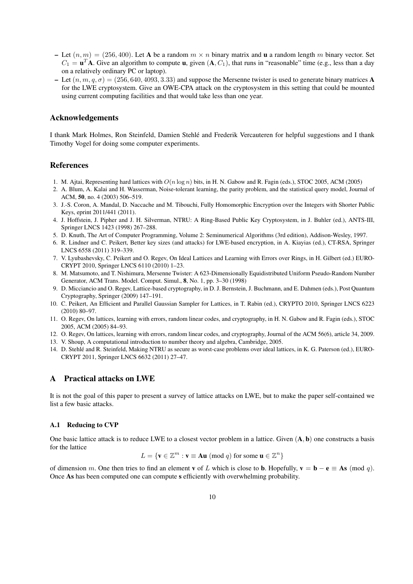- Let  $(n, m) = (256, 400)$ . Let A be a random  $m \times n$  binary matrix and u a random length m binary vector. Set  $C_1 = \mathbf{u}^T \mathbf{A}$ . Give an algorithm to compute **u**, given  $(\mathbf{A}, C_1)$ , that runs in "reasonable" time (e.g., less than a day on a relatively ordinary PC or laptop).
- Let  $(n, m, q, \sigma) = (256, 640, 4093, 3.33)$  and suppose the Mersenne twister is used to generate binary matrices **A** for the LWE cryptosystem. Give an OWE-CPA attack on the cryptosystem in this setting that could be mounted using current computing facilities and that would take less than one year.

# Acknowledgements

I thank Mark Holmes, Ron Steinfeld, Damien Stehle and Frederik Vercauteren for helpful suggestions and I thank ´ Timothy Vogel for doing some computer experiments.

### References

- 1. M. Ajtai, Representing hard lattices with  $O(n \log n)$  bits, in H. N. Gabow and R. Fagin (eds.), STOC 2005, ACM (2005)
- 2. A. Blum, A. Kalai and H. Wasserman, Noise-tolerant learning, the parity problem, and the statistical query model, Journal of ACM, 50, no. 4 (2003) 506–519.
- 3. J.-S. Coron, A. Mandal, D. Naccache and M. Tibouchi, Fully Homomorphic Encryption over the Integers with Shorter Public Keys, eprint 2011/441 (2011).
- 4. J. Hoffstein, J. Pipher and J. H. Silverman, NTRU: A Ring-Based Public Key Cryptosystem, in J. Buhler (ed.), ANTS-III, Springer LNCS 1423 (1998) 267–288.
- 5. D. Knuth, The Art of Computer Programming, Volume 2: Seminumerical Algorithms (3rd edition), Addison-Wesley, 1997.
- 6. R. Lindner and C. Peikert, Better key sizes (and attacks) for LWE-based encryption, in A. Kiayias (ed.), CT-RSA, Springer LNCS 6558 (2011) 319–339.
- 7. V. Lyubashevsky, C. Peikert and O. Regev, On Ideal Lattices and Learning with Errors over Rings, in H. Gilbert (ed.) EURO-CRYPT 2010, Springer LNCS 6110 (2010) 1–23.
- 8. M. Matsumoto, and T. Nishimura, Mersenne Twister: A 623-Dimensionally Equidistributed Uniform Pseudo-Random Number Generator, ACM Trans. Model. Comput. Simul., 8, No. 1, pp. 3–30 (1998)
- 9. D. Micciancio and O. Regev, Lattice-based cryptography, in D. J. Bernstein, J. Buchmann, and E. Dahmen (eds.), Post Quantum Cryptography, Springer (2009) 147–191.
- 10. C. Peikert, An Efficient and Parallel Gaussian Sampler for Lattices, in T. Rabin (ed.), CRYPTO 2010, Springer LNCS 6223 (2010) 80–97.
- 11. O. Regev, On lattices, learning with errors, random linear codes, and cryptography, in H. N. Gabow and R. Fagin (eds.), STOC 2005, ACM (2005) 84–93.
- 12. O. Regev, On lattices, learning with errors, random linear codes, and cryptography, Journal of the ACM 56(6), article 34, 2009.
- 13. V. Shoup, A computational introduction to number theory and algebra, Cambridge, 2005.
- 14. D. Stehle and R. Steinfeld, Making NTRU as secure as worst-case problems over ideal lattices, in K. G. Paterson (ed.), EURO- ´ CRYPT 2011, Springer LNCS 6632 (2011) 27–47.

## A Practical attacks on LWE

It is not the goal of this paper to present a survey of lattice attacks on LWE, but to make the paper self-contained we list a few basic attacks.

### A.1 Reducing to CVP

One basic lattice attack is to reduce LWE to a closest vector problem in a lattice. Given  $(A, b)$  one constructs a basis for the lattice

$$
L = \{ \mathbf{v} \in \mathbb{Z}^m : \mathbf{v} \equiv \mathbf{A}\mathbf{u} \pmod{q} \text{ for some } \mathbf{u} \in \mathbb{Z}^n \}
$$

of dimension m. One then tries to find an element v of L which is close to **b**. Hopefully,  $\mathbf{v} = \mathbf{b} - \mathbf{e} \equiv \mathbf{A}\mathbf{s}$  (mod q). Once As has been computed one can compute s efficiently with overwhelming probability.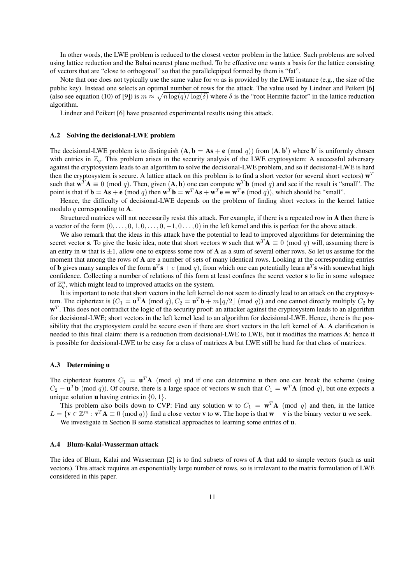In other words, the LWE problem is reduced to the closest vector problem in the lattice. Such problems are solved using lattice reduction and the Babai nearest plane method. To be effective one wants a basis for the lattice consisting of vectors that are "close to orthogonal" so that the parallelepiped formed by them is "fat".

Note that one does not typically use the same value for  $m$  as is provided by the LWE instance (e.g., the size of the public key). Instead one selects an optimal number of rows for the attack. The value used by Lindner and Peikert [6] (also see equation (10) of [9]) is  $m \approx \sqrt{n \log(q)/\log(\delta)}$  where  $\delta$  is the "root Hermite factor" in the lattice reduction algorithm.

Lindner and Peikert [6] have presented experimental results using this attack.

#### A.2 Solving the decisional-LWE problem

The decisional-LWE problem is to distinguish  $(A, b = As + e \pmod{q}$  from  $(A, b')$  where b' is uniformly chosen with entries in  $\mathbb{Z}_q$ . This problem arises in the security analysis of the LWE cryptosystem: A successful adversary against the cryptosystem leads to an algorithm to solve the decisional-LWE problem, and so if decisional-LWE is hard then the cryptosystem is secure. A lattice attack on this problem is to find a short vector (or several short vectors)  $w<sup>T</sup>$ such that  $w^T A \equiv 0 \pmod{q}$ . Then, given  $(A, b)$  one can compute  $w^T b$  (mod q) and see if the result is "small". The point is that if  $\mathbf{b} = \mathbf{A}\mathbf{s} + \mathbf{e} \pmod{q}$  then  $\mathbf{w}^T \mathbf{b} = \mathbf{w}^T \mathbf{A}\mathbf{s} + \mathbf{w}^T \mathbf{e} \equiv \mathbf{w}^T \mathbf{e} \pmod{q}$ , which should be "small".

Hence, the difficulty of decisional-LWE depends on the problem of finding short vectors in the kernel lattice modulo q corresponding to  $\bf{A}$ .

Structured matrices will not necessarily resist this attack. For example, if there is a repeated row in A then there is a vector of the form  $(0, \ldots, 0, 1, 0, \ldots, 0, -1, 0, \ldots, 0)$  in the left kernel and this is perfect for the above attack.

We also remark that the ideas in this attack have the potential to lead to improved algorithms for determining the secret vector s. To give the basic idea, note that short vectors w such that  $w^T A \equiv 0 \pmod{q}$  will, assuming there is an entry in w that is  $\pm 1$ , allow one to express some row of A as a sum of several other rows. So let us assume for the moment that among the rows of A are a number of sets of many identical rows. Looking at the corresponding entries of **b** gives many samples of the form  $\mathbf{a}^T\mathbf{s} + e \pmod{q}$ , from which one can potentially learn  $\mathbf{a}^T\mathbf{s}$  with somewhat high confidence. Collecting a number of relations of this form at least confines the secret vector s to lie in some subspace of  $\mathbb{Z}_q^n$ , which might lead to improved attacks on the system.

It is important to note that short vectors in the left kernel do not seem to directly lead to an attack on the cryptosystem. The ciphertext is  $(C_1 = \mathbf{u}^T \mathbf{A} \pmod{q}$ ,  $C_2 = \mathbf{u}^T \mathbf{b} + m\lfloor q/2 \rfloor \pmod{q}$  and one cannot directly multiply  $C_2$  by  $w<sup>T</sup>$ . This does not contradict the logic of the security proof: an attacker against the cryptosystem leads to an algorithm for decisional-LWE; short vectors in the left kernel lead to an algorithm for decisional-LWE. Hence, there is the possibility that the cryptosystem could be secure even if there are short vectors in the left kernel of A. A clarification is needed to this final claim: there is a reduction from decisional-LWE to LWE, but it modifies the matrices A; hence it is possible for decisional-LWE to be easy for a class of matrices A but LWE still be hard for that class of matrices.

#### A.3 Determining u

The ciphertext features  $C_1 = \mathbf{u}^T \mathbf{A}$  (mod q) and if one can determine **u** then one can break the scheme (using  $C_2 - \mathbf{u}^T \mathbf{b}$  (mod q)). Of course, there is a large space of vectors **w** such that  $C_1 = \mathbf{w}^T \mathbf{A}$  (mod q), but one expects a unique solution **u** having entries in  $\{0, 1\}$ .

This problem also boils down to CVP: Find any solution **w** to  $C_1 = \mathbf{w}^T \mathbf{A}$  (mod q) and then, in the lattice  $L = \{v \in \mathbb{Z}^m : v^T A \equiv 0 \pmod{q}\}\$  find a close vector v to w. The hope is that w – v is the binary vector u we seek. We investigate in Section B some statistical approaches to learning some entries of **u**.

#### A.4 Blum-Kalai-Wasserman attack

The idea of Blum, Kalai and Wasserman [2] is to find subsets of rows of A that add to simple vectors (such as unit vectors). This attack requires an exponentially large number of rows, so is irrelevant to the matrix formulation of LWE considered in this paper.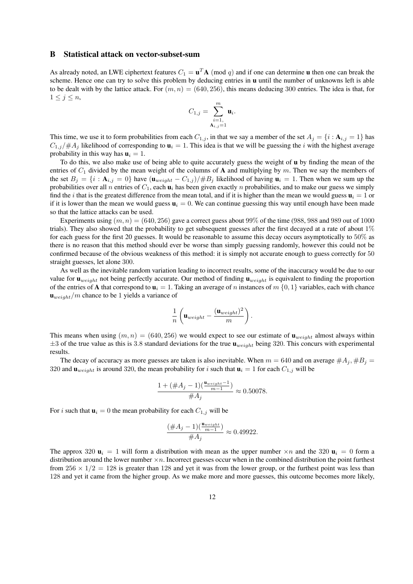#### B Statistical attack on vector-subset-sum

As already noted, an LWE ciphertext features  $C_1 = \mathbf{u}^T \mathbf{A}$  (mod q) and if one can determine **u** then one can break the scheme. Hence one can try to solve this problem by deducing entries in  $\bf{u}$  until the number of unknowns left is able to be dealt with by the lattice attack. For  $(m, n) = (640, 256)$ , this means deducing 300 entries. The idea is that, for  $1 \leq j \leq n$ ,

$$
C_{1,j} = \sum_{\substack{i=1,\\ \mathbf{A}_{i,j}=1}}^m \mathbf{u}_i.
$$

This time, we use it to form probabilities from each  $C_{1,j}$ , in that we say a member of the set  $A_j = \{i : A_{i,j} = 1\}$  has  $C_{1,j}/\#A_j$  likelihood of corresponding to  $\mathbf{u}_i = 1$ . This idea is that we will be guessing the i with the highest average probability in this way has  $\mathbf{u}_i = 1$ .

To do this, we also make use of being able to quite accurately guess the weight of u by finding the mean of the entries of  $C_1$  divided by the mean weight of the columns of A and multiplying by m. Then we say the members of the set  $B_j = \{i : A_{i,j} = 0\}$  have  $(\mathbf{u}_{weight} - C_{1,j})/\#B_j$  likelihood of having  $\mathbf{u}_i = 1$ . Then when we sum up the probabilities over all n entries of  $C_1$ , each  $\mathbf{u}_i$  has been given exactly n probabilities, and to make our guess we simply find the *i* that is the greatest difference from the mean total, and if it is higher than the mean we would guess  $\mathbf{u}_i = 1$  or if it is lower than the mean we would guess  $\mathbf{u}_i = 0$ . We can continue guessing this way until enough have been made so that the lattice attacks can be used.

Experiments using  $(m, n) = (640, 256)$  gave a correct guess about 99% of the time (988, 988 and 989 out of 1000 trials). They also showed that the probability to get subsequent guesses after the first decayed at a rate of about 1% for each guess for the first 20 guesses. It would be reasonable to assume this decay occurs asymptotically to 50% as there is no reason that this method should ever be worse than simply guessing randomly, however this could not be confirmed because of the obvious weakness of this method: it is simply not accurate enough to guess correctly for 50 straight guesses, let alone 300.

As well as the inevitable random variation leading to incorrect results, some of the inaccuracy would be due to our value for  $\mathbf{u}_{weight}$  not being perfectly accurate. Our method of finding  $\mathbf{u}_{weight}$  is equivalent to finding the proportion of the entries of A that correspond to  $\mathbf{u}_i = 1$ . Taking an average of n instances of  $m \{0, 1\}$  variables, each with chance  $\mathbf{u}_{weight}/m$  chance to be 1 yields a variance of

$$
\frac{1}{n}\left(\mathbf{u}_{weight} - \frac{(\mathbf{u}_{weight})^2}{m}\right).
$$

This means when using  $(m, n) = (640, 256)$  we would expect to see our estimate of  $\mathbf{u}_{weight}$  almost always within  $\pm 3$  of the true value as this is 3.8 standard deviations for the true  $\mathbf{u}_{weight}$  being 320. This concurs with experimental results.

The decay of accuracy as more guesses are taken is also inevitable. When  $m = 640$  and on average  $\#A_j, \#B_j =$ 320 and  $\mathbf{u}_{weight}$  is around 320, the mean probability for i such that  $\mathbf{u}_i = 1$  for each  $C_{1,j}$  will be

$$
\frac{1 + (\#A_j - 1)(\frac{\mathbf{u}_{weight} - 1}{m - 1})}{\#A_j} \approx 0.50078.
$$

For i such that  $\mathbf{u}_i = 0$  the mean probability for each  $C_{1,j}$  will be

$$
\frac{(\#A_j - 1)(\frac{\mathbf{u}_{weight}}{m-1})}{\#A_j} \approx 0.49922.
$$

The approx 320  $\mathbf{u}_i = 1$  will form a distribution with mean as the upper number  $\times n$  and the 320  $\mathbf{u}_i = 0$  form a distribution around the lower number  $\times n$ . Incorrect guesses occur when in the combined distribution the point furthest from  $256 \times 1/2 = 128$  is greater than 128 and yet it was from the lower group, or the furthest point was less than 128 and yet it came from the higher group. As we make more and more guesses, this outcome becomes more likely,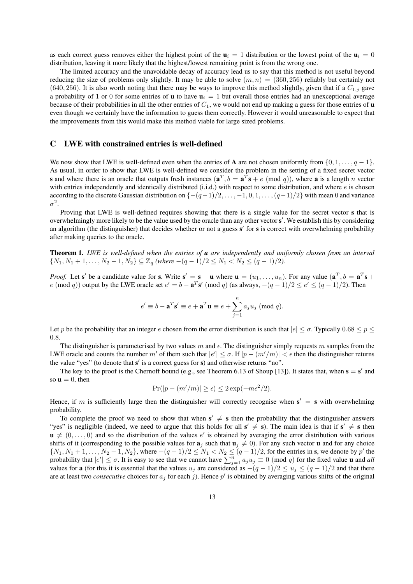as each correct guess removes either the highest point of the  $\mathbf{u}_i = 1$  distribution or the lowest point of the  $\mathbf{u}_i = 0$ distribution, leaving it more likely that the highest/lowest remaining point is from the wrong one.

The limited accuracy and the unavoidable decay of accuracy lead us to say that this method is not useful beyond reducing the size of problems only slightly. It may be able to solve  $(m, n) = (360, 256)$  reliably but certainly not (640, 256). It is also worth noting that there may be ways to improve this method slightly, given that if a  $C_{1,i}$  gave a probability of 1 or 0 for some entries of **u** to have  $\mathbf{u}_i = 1$  but overall those entries had an unexceptional average because of their probabilities in all the other entries of  $C_1$ , we would not end up making a guess for those entries of **u** even though we certainly have the information to guess them correctly. However it would unreasonable to expect that the improvements from this would make this method viable for large sized problems.

### C LWE with constrained entries is well-defined

We now show that LWE is well-defined even when the entries of **A** are not chosen uniformly from  $\{0, 1, \ldots, q - 1\}$ . As usual, in order to show that LWE is well-defined we consider the problem in the setting of a fixed secret vector **s** and where there is an oracle that outputs fresh instances  $(\mathbf{a}^T, b = \mathbf{a}^T\mathbf{s} + e \pmod{q}$ , where **a** is a length *n* vector with entries independently and identically distributed  $(i.i.d.)$  with respect to some distribution, and where  $e$  is chosen according to the discrete Gaussian distribution on  $\{-(q-1)/2, \ldots, -1, 0, 1, \ldots, (q-1)/2\}$  with mean 0 and variance  $\sigma^2$ .

Proving that LWE is well-defined requires showing that there is a single value for the secret vector s that is overwhelmingly more likely to be the value used by the oracle than any other vector s'. We establish this by considering an algorithm (the distinguisher) that decides whether or not a guess s' for s is correct with overwhelming probability after making queries to the oracle.

Theorem 1. *LWE is well-defined when the entries of a are independently and uniformly chosen from an interval* { $N_1, N_1 + 1, ..., N_2 - 1, N_2$ } ⊆ Z<sub>q</sub> (where  $-(q - 1)/2 \le N_1 < N_2 \le (q - 1)/2$ ).

*Proof.* Let s' be a candidate value for s. Write  $s' = s - u$  where  $u = (u_1, \dots, u_n)$ . For any value  $(a^T, b = a^T s + a)$ e (mod q)) output by the LWE oracle set  $e' = b - \mathbf{a}^T \mathbf{s}'$  (mod q) (as always,  $-(q-1)/2 \le e' \le (q-1)/2$ ). Then

$$
e' \equiv b - \mathbf{a}^T \mathbf{s}' \equiv e + \mathbf{a}^T \mathbf{u} \equiv e + \sum_{j=1}^n a_j u_j \pmod{q}.
$$

Let p be the probability that an integer e chosen from the error distribution is such that  $|e| < \sigma$ . Typically  $0.68 < p <$ 0.8.

The distinguisher is parameterised by two values m and  $\epsilon$ . The distinguisher simply requests m samples from the LWE oracle and counts the number m' of them such that  $|e'|\leq \sigma$ . If  $|p-(m'/m)| < \epsilon$  then the distinguisher returns the value "yes" (to denote that s' is a correct guess for s) and otherwise returns "no".

The key to the proof is the Chernoff bound (e.g., see Theorem 6.13 of Shoup [13]). It states that, when  $s = s'$  and so  $\mathbf{u} = 0$ , then

$$
Pr(|p - (m'/m)| \ge \epsilon) \le 2\exp(-m\epsilon^2/2).
$$

Hence, if m is sufficiently large then the distinguisher will correctly recognise when  $s' = s$  with overwhelming probability.

To complete the proof we need to show that when  $s' \neq s$  then the probability that the distinguisher answers "yes" is negligible (indeed, we need to argue that this holds for all  $s' \neq s$ ). The main idea is that if  $s' \neq s$  then  $\mathbf{u} \neq (0, \ldots, 0)$  and so the distribution of the values e' is obtained by averaging the error distribution with various shifts of it (corresponding to the possible values for  $\mathbf{a}_j$  such that  $\mathbf{u}_j \neq 0$ ). For any such vector u and for any choice  $\{N_1, N_1 + 1, \ldots, N_2 - 1, N_2\}$ , where  $-(q - 1)/2 \le N_1 < N_2 \le (q - 1)/2$ , for the entries in **s**, we denote by p' the probability that  $|e'| \le \sigma$ . It is easy to see that we cannot have  $\sum_{j=1}^n a_j u_j \equiv 0 \pmod{q}$  for the fixed value **u** and *all* values for **a** (for this it is essential that the values  $u_j$  are considered as  $-(q-1)/2 \le u_j \le (q-1)/2$  and that there are at least two *consecutive* choices for  $a_j$  for each j). Hence p' is obtained by averaging various shifts of the original